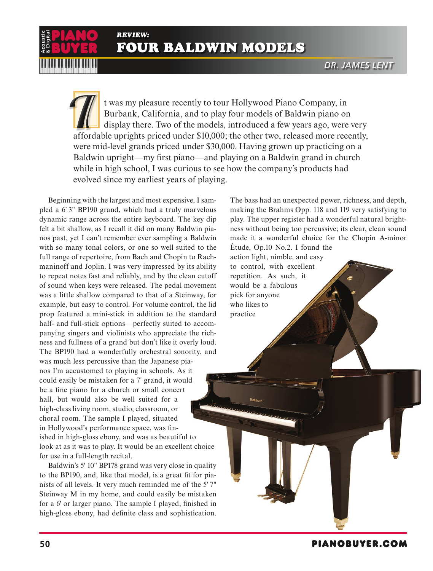*REVIEW:*  FOUR BALDWIN MODELS

t was my pleasure recently to tour Hollywood Piano Company, in Burbank, California, and to play four models of Baldwin piano on display there. Two of the models, introduced a few years ago, were very affordable uprights priced under \$10,000; the other two, released more recently, were mid-level grands priced under \$30,000. Having grown up practicing on a Baldwin upright—my first piano—and playing on a Baldwin grand in church while in high school, I was curious to see how the company's products had evolved since my earliest years of playing.

Beginning with the largest and most expensive, I sampled a 6' 3" BP190 grand, which had a truly marvelous dynamic range across the entire keyboard. The key dip felt a bit shallow, as I recall it did on many Baldwin pianos past, yet I can't remember ever sampling a Baldwin with so many tonal colors, or one so well suited to the full range of repertoire, from Bach and Chopin to Rachmaninoff and Joplin. I was very impressed by its ability to repeat notes fast and reliably, and by the clean cutoff of sound when keys were released. The pedal movement was a little shallow compared to that of a Steinway, for example, but easy to control. For volume control, the lid prop featured a mini-stick in addition to the standard half- and full-stick options—perfectly suited to accompanying singers and violinists who appreciate the richness and fullness of a grand but don't like it overly loud. The BP190 had a wonderfully orchestral sonority, and was much less percussive than the Japanese pianos I'm accustomed to playing in schools. As it could easily be mistaken for a 7' grand, it would be a fine piano for a church or small concert hall, but would also be well suited for a high-class living room, studio, classroom, or choral room. The sample I played, situated in Hollywood's performance space, was finished in high-gloss ebony, and was as beautiful to look at as it was to play. It would be an excellent choice for use in a full-length recital. **For all the source of the source of the solution** (Form BALDW)<br> **EVALUATE:** The single prime in the single proper state of the mode of the mode were mid-level grands priced under \$30.<br>
Bladlyin upright—my first piano—and

BUYER

Baldwin's 5' 10" BP178 grand was very close in quality to the BP190, and, like that model, is a great fit for pianists of all levels. It very much reminded me of the 5' 7" Steinway M in my home, and could easily be mistaken for a 6' or larger piano. The sample I played, finished in The bass had an unexpected power, richness, and depth, making the Brahms Opp. 118 and 119 very satisfying to play. The upper register had a wonderful natural brightness without being too percussive; its clear, clean sound made it a wonderful choice for the Chopin A-minor Étude, Op.10 No.2. I found the

action light, nimble, and easy to control, with excellent repetition. As such, it would be a fabulous pick for anyone who likes to practice